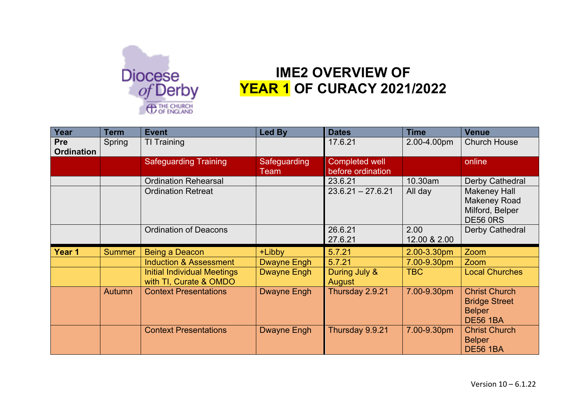

## **IME2 OVERVIEW OF YEAR 1 OF CURACY 2021/2022**

| Year                            | <b>Term</b>   | <b>Event</b>                                                 | <b>Led By</b>        | <b>Dates</b>                               | <b>Time</b>          | <b>Venue</b>                                                                     |
|---------------------------------|---------------|--------------------------------------------------------------|----------------------|--------------------------------------------|----------------------|----------------------------------------------------------------------------------|
| <b>Pre</b><br><b>Ordination</b> | Spring        | TI Training                                                  |                      | 17.6.21                                    | 2.00-4.00pm          | <b>Church House</b>                                                              |
|                                 |               | <b>Safeguarding Training</b>                                 | Safeguarding<br>Team | <b>Completed well</b><br>before ordination |                      | online                                                                           |
|                                 |               | <b>Ordination Rehearsal</b>                                  |                      | 23.6.21                                    | 10.30am              | Derby Cathedral                                                                  |
|                                 |               | <b>Ordination Retreat</b>                                    |                      | $23.6.21 - 27.6.21$                        | All day              | <b>Makeney Hall</b><br><b>Makeney Road</b><br>Milford, Belper<br><b>DE56 0RS</b> |
|                                 |               | <b>Ordination of Deacons</b>                                 |                      | 26.6.21<br>27.6.21                         | 2.00<br>12.00 & 2.00 | Derby Cathedral                                                                  |
| Year 1                          | <b>Summer</b> | <b>Being a Deacon</b>                                        | +Libby               | 5.7.21                                     | 2.00-3.30pm          | Zoom                                                                             |
|                                 |               | <b>Induction &amp; Assessment</b>                            | Dwayne Engh          | 5.7.21                                     | 7.00-9.30pm          | Zoom                                                                             |
|                                 |               | <b>Initial Individual Meetings</b><br>with TI, Curate & OMDO | <b>Dwayne Engh</b>   | During July &<br>August                    | <b>TBC</b>           | <b>Local Churches</b>                                                            |
|                                 | Autumn        | <b>Context Presentations</b>                                 | <b>Dwayne Engh</b>   | Thursday 2.9.21                            | 7.00-9.30pm          | <b>Christ Church</b><br><b>Bridge Street</b><br><b>Belper</b><br><b>DE56 1BA</b> |
|                                 |               | <b>Context Presentations</b>                                 | <b>Dwayne Engh</b>   | Thursday 9.9.21                            | 7.00-9.30pm          | <b>Christ Church</b><br><b>Belper</b><br><b>DE56 1BA</b>                         |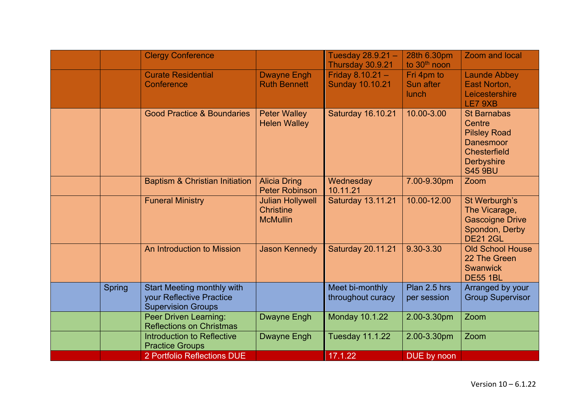|        | 2 Portfolio Reflections DUE                                                                |                                                                                         | 17.1.22                                      | DUE by noon                             |                                                                                               |
|--------|--------------------------------------------------------------------------------------------|-----------------------------------------------------------------------------------------|----------------------------------------------|-----------------------------------------|-----------------------------------------------------------------------------------------------|
|        | <b>Introduction to Reflective</b><br><b>Practice Groups</b>                                | <b>Dwayne Engh</b>                                                                      | <b>Tuesday 11.1.22</b>                       | 2.00-3.30pm                             | Zoom                                                                                          |
|        | Peer Driven Learning:<br><b>Reflections on Christmas</b>                                   | Dwayne Engh                                                                             | <b>Monday 10.1.22</b>                        | 2.00-3.30pm                             | Zoom                                                                                          |
| Spring | <b>Start Meeting monthly with</b><br>your Reflective Practice<br><b>Supervision Groups</b> |                                                                                         | Meet bi-monthly<br>throughout curacy         | Plan 2.5 hrs<br>per session             | Arranged by your<br><b>Group Supervisor</b>                                                   |
|        | An Introduction to Mission                                                                 | <b>Jason Kennedy</b>                                                                    | <b>Saturday 20.11.21</b>                     | 9.30-3.30                               | <b>Old School House</b><br>22 The Green<br><b>Swanwick</b><br><b>DE55 1BL</b>                 |
|        | <b>Funeral Ministry</b>                                                                    | <b>Peter Robinson</b><br><b>Julian Hollywell</b><br><b>Christine</b><br><b>McMullin</b> | 10.11.21<br><b>Saturday 13.11.21</b>         | 10.00-12.00                             | St Werburgh's<br>The Vicarage,<br><b>Gascoigne Drive</b><br>Spondon, Derby<br><b>DE21 2GL</b> |
|        | <b>Baptism &amp; Christian Initiation</b>                                                  | <b>Alicia Dring</b>                                                                     | Wednesday                                    | 7.00-9.30pm                             | <b>Chesterfield</b><br>Derbyshire<br><b>S45 9BU</b><br>Zoom                                   |
|        | <b>Good Practice &amp; Boundaries</b>                                                      | <b>Peter Walley</b><br><b>Helen Walley</b>                                              | <b>Saturday 16.10.21</b>                     | 10.00-3.00                              | <b>St Barnabas</b><br>Centre<br><b>Pilsley Road</b><br><b>Danesmoor</b>                       |
|        | <b>Curate Residential</b><br>Conference                                                    | <b>Dwayne Engh</b><br><b>Ruth Bennett</b>                                               | Friday $8.10.21 -$<br><b>Sunday 10.10.21</b> | Fri 4pm to<br>Sun after<br>lunch        | <b>Launde Abbey</b><br>East Norton,<br>Leicestershire<br>LE7 9XB                              |
|        | <b>Clergy Conference</b>                                                                   |                                                                                         | Tuesday 28.9.21 -<br>Thursday 30.9.21        | 28th 6.30pm<br>to 30 <sup>th</sup> noon | Zoom and local                                                                                |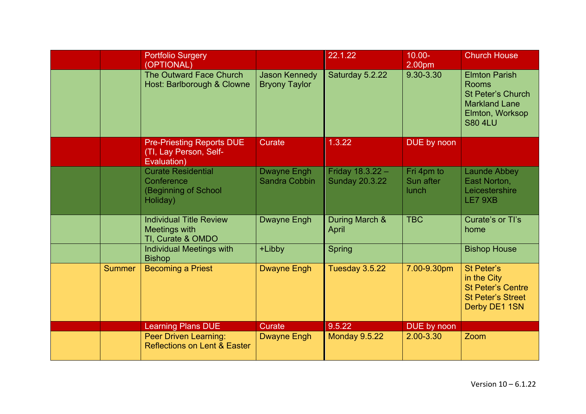|               | <b>Portfolio Surgery</b><br>(OPTIONAL)                                      |                                              | 22.1.22                                   | $10.00 -$<br>2.00pm              | <b>Church House</b>                                                                                                           |
|---------------|-----------------------------------------------------------------------------|----------------------------------------------|-------------------------------------------|----------------------------------|-------------------------------------------------------------------------------------------------------------------------------|
|               | The Outward Face Church<br>Host: Barlborough & Clowne                       | <b>Jason Kennedy</b><br><b>Bryony Taylor</b> | Saturday 5.2.22                           | 9.30-3.30                        | <b>Elmton Parish</b><br><b>Rooms</b><br><b>St Peter's Church</b><br><b>Markland Lane</b><br>Elmton, Worksop<br><b>S80 4LU</b> |
|               | <b>Pre-Priesting Reports DUE</b><br>(TI, Lay Person, Self-<br>Evaluation)   | <b>Curate</b>                                | 1.3.22                                    | DUE by noon                      |                                                                                                                               |
|               | <b>Curate Residential</b><br>Conference<br>(Beginning of School<br>Holiday) | <b>Dwayne Engh</b><br><b>Sandra Cobbin</b>   | Friday 18.3.22 -<br><b>Sunday 20.3.22</b> | Fri 4pm to<br>Sun after<br>lunch | <b>Launde Abbey</b><br>East Norton,<br>Leicestershire<br>LE7 9XB                                                              |
|               | <b>Individual Title Review</b><br>Meetings with<br>TI, Curate & OMDO        | <b>Dwayne Engh</b>                           | During March &<br>April                   | <b>TBC</b>                       | Curate's or Tl's<br>home                                                                                                      |
|               | <b>Individual Meetings with</b><br><b>Bishop</b>                            | +Libby                                       | <b>Spring</b>                             |                                  | <b>Bishop House</b>                                                                                                           |
| <b>Summer</b> | <b>Becoming a Priest</b>                                                    | <b>Dwayne Engh</b>                           | Tuesday 3.5.22                            | 7.00-9.30pm                      | St Peter's<br>in the City<br><b>St Peter's Centre</b><br><b>St Peter's Street</b><br>Derby DE1 1SN                            |
|               | <b>Learning Plans DUE</b>                                                   | Curate                                       | 9.5.22                                    | DUE by noon                      |                                                                                                                               |
|               | <b>Peer Driven Learning:</b><br><b>Reflections on Lent &amp; Easter</b>     | <b>Dwayne Engh</b>                           | <b>Monday 9.5.22</b>                      | 2.00-3.30                        | Zoom                                                                                                                          |